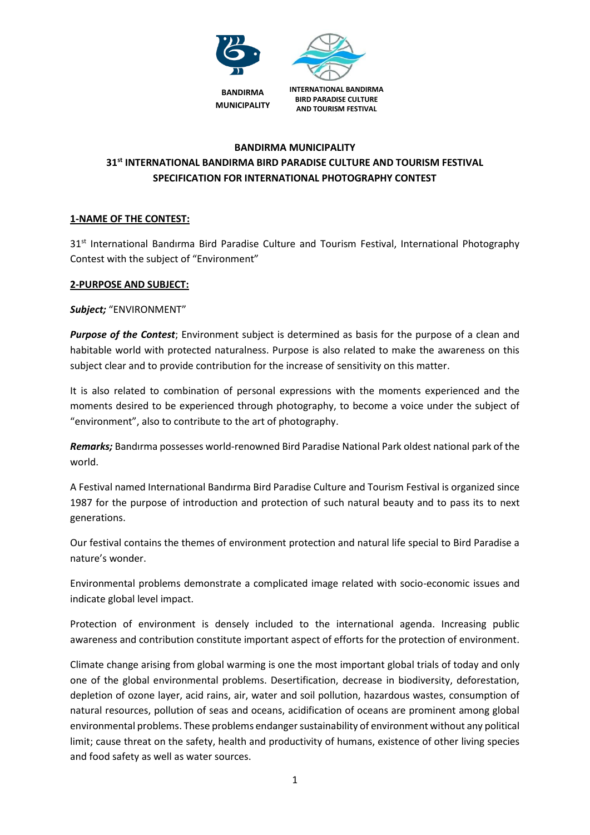

# **BANDIRMA MUNICIPALITY 31st INTERNATIONAL BANDIRMA BIRD PARADISE CULTURE AND TOURISM FESTIVAL SPECIFICATION FOR INTERNATIONAL PHOTOGRAPHY CONTEST**

# **1-NAME OF THE CONTEST:**

31<sup>st</sup> International Bandırma Bird Paradise Culture and Tourism Festival, International Photography Contest with the subject of "Environment"

# **2-PURPOSE AND SUBJECT:**

*Subject;* "ENVIRONMENT"

*Purpose of the Contest*; Environment subject is determined as basis for the purpose of a clean and habitable world with protected naturalness. Purpose is also related to make the awareness on this subject clear and to provide contribution for the increase of sensitivity on this matter.

It is also related to combination of personal expressions with the moments experienced and the moments desired to be experienced through photography, to become a voice under the subject of "environment", also to contribute to the art of photography.

*Remarks;* Bandırma possesses world-renowned Bird Paradise National Park oldest national park of the world.

A Festival named International Bandırma Bird Paradise Culture and Tourism Festival is organized since 1987 for the purpose of introduction and protection of such natural beauty and to pass its to next generations.

Our festival contains the themes of environment protection and natural life special to Bird Paradise a nature's wonder.

Environmental problems demonstrate a complicated image related with socio-economic issues and indicate global level impact.

Protection of environment is densely included to the international agenda. Increasing public awareness and contribution constitute important aspect of efforts for the protection of environment.

Climate change arising from global warming is one the most important global trials of today and only one of the global environmental problems. Desertification, decrease in biodiversity, deforestation, depletion of ozone layer, acid rains, air, water and soil pollution, hazardous wastes, consumption of natural resources, pollution of seas and oceans, acidification of oceans are prominent among global environmental problems. These problems endanger sustainability of environment without any political limit; cause threat on the safety, health and productivity of humans, existence of other living species and food safety as well as water sources.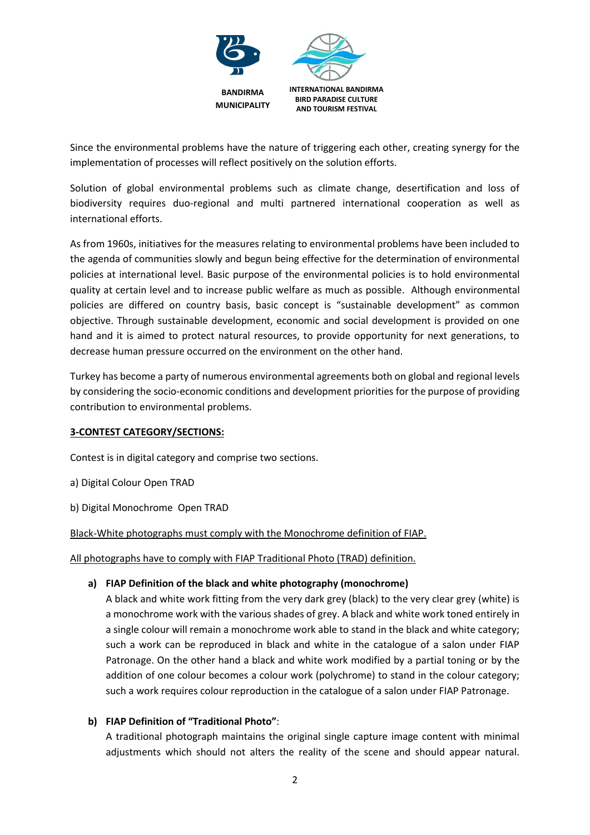

Since the environmental problems have the nature of triggering each other, creating synergy for the implementation of processes will reflect positively on the solution efforts.

Solution of global environmental problems such as climate change, desertification and loss of biodiversity requires duo-regional and multi partnered international cooperation as well as international efforts.

As from 1960s, initiatives for the measures relating to environmental problems have been included to the agenda of communities slowly and begun being effective for the determination of environmental policies at international level. Basic purpose of the environmental policies is to hold environmental quality at certain level and to increase public welfare as much as possible. Although environmental policies are differed on country basis, basic concept is "sustainable development" as common objective. Through sustainable development, economic and social development is provided on one hand and it is aimed to protect natural resources, to provide opportunity for next generations, to decrease human pressure occurred on the environment on the other hand.

Turkey has become a party of numerous environmental agreements both on global and regional levels by considering the socio-economic conditions and development priorities for the purpose of providing contribution to environmental problems.

# **3-CONTEST CATEGORY/SECTIONS:**

Contest is in digital category and comprise two sections.

a) Digital Colour Open TRAD

b) Digital Monochrome Open TRAD

Black-White photographs must comply with the Monochrome definition of FIAP.

All photographs have to comply with FIAP Traditional Photo (TRAD) definition.

# **a) FIAP Definition of the black and white photography (monochrome)**

A black and white work fitting from the very dark grey (black) to the very clear grey (white) is a monochrome work with the various shades of grey. A black and white work toned entirely in a single colour will remain a monochrome work able to stand in the black and white category; such a work can be reproduced in black and white in the catalogue of a salon under FIAP Patronage. On the other hand a black and white work modified by a partial toning or by the addition of one colour becomes a colour work (polychrome) to stand in the colour category; such a work requires colour reproduction in the catalogue of a salon under FIAP Patronage.

# **b) FIAP Definition of "Traditional Photo"**:

A traditional photograph maintains the original single capture image content with minimal adjustments which should not alters the reality of the scene and should appear natural.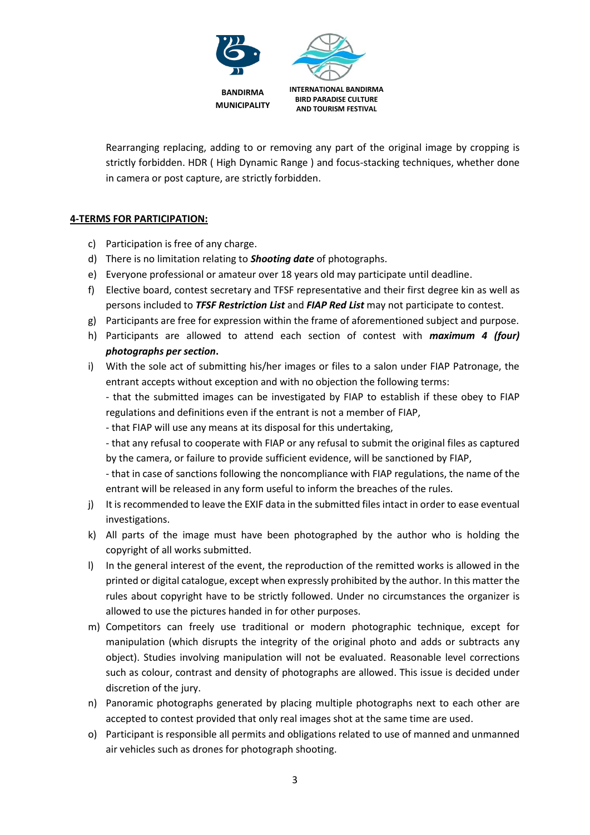

Rearranging replacing, adding to or removing any part of the original image by cropping is strictly forbidden. HDR ( High Dynamic Range ) and focus-stacking techniques, whether done in camera or post capture, are strictly forbidden.

# **4-TERMS FOR PARTICIPATION:**

- c) Participation is free of any charge.
- d) There is no limitation relating to *Shooting date* of photographs.
- e) Everyone professional or amateur over 18 years old may participate until deadline.
- f) Elective board, contest secretary and TFSF representative and their first degree kin as well as persons included to *TFSF Restriction List* and *FIAP Red List* may not participate to contest.
- g) Participants are free for expression within the frame of aforementioned subject and purpose.
- h) Participants are allowed to attend each section of contest with *maximum 4 (four) photographs per section***.**
- i) With the sole act of submitting his/her images or files to a salon under FIAP Patronage, the entrant accepts without exception and with no objection the following terms:

- that the submitted images can be investigated by FIAP to establish if these obey to FIAP regulations and definitions even if the entrant is not a member of FIAP,

- that FIAP will use any means at its disposal for this undertaking,

- that any refusal to cooperate with FIAP or any refusal to submit the original files as captured by the camera, or failure to provide sufficient evidence, will be sanctioned by FIAP,

- that in case of sanctions following the noncompliance with FIAP regulations, the name of the entrant will be released in any form useful to inform the breaches of the rules.

- j) It is recommended to leave the EXIF data in the submitted files intact in order to ease eventual investigations.
- k) All parts of the image must have been photographed by the author who is holding the copyright of all works submitted.
- l) In the general interest of the event, the reproduction of the remitted works is allowed in the printed or digital catalogue, except when expressly prohibited by the author. In this matter the rules about copyright have to be strictly followed. Under no circumstances the organizer is allowed to use the pictures handed in for other purposes.
- m) Competitors can freely use traditional or modern photographic technique, except for manipulation (which disrupts the integrity of the original photo and adds or subtracts any object). Studies involving manipulation will not be evaluated. Reasonable level corrections such as colour, contrast and density of photographs are allowed. This issue is decided under discretion of the jury.
- n) Panoramic photographs generated by placing multiple photographs next to each other are accepted to contest provided that only real images shot at the same time are used.
- o) Participant is responsible all permits and obligations related to use of manned and unmanned air vehicles such as drones for photograph shooting.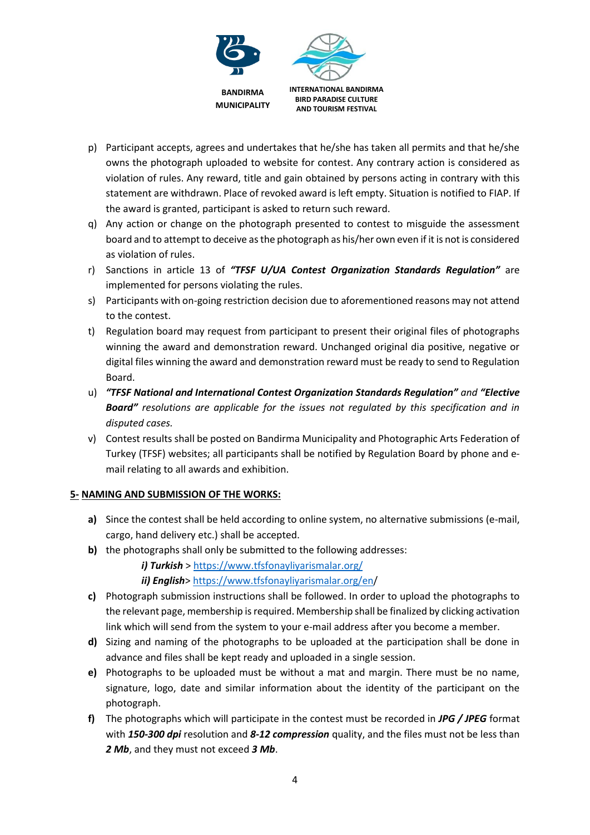

- p) Participant accepts, agrees and undertakes that he/she has taken all permits and that he/she owns the photograph uploaded to website for contest. Any contrary action is considered as violation of rules. Any reward, title and gain obtained by persons acting in contrary with this statement are withdrawn. Place of revoked award is left empty. Situation is notified to FIAP. If the award is granted, participant is asked to return such reward.
- q) Any action or change on the photograph presented to contest to misguide the assessment board and to attempt to deceive as the photograph as his/her own even if it is not is considered as violation of rules.
- r) Sanctions in article 13 of *"TFSF U/UA Contest Organization Standards Regulation"* are implemented for persons violating the rules.
- s) Participants with on-going restriction decision due to aforementioned reasons may not attend to the contest.
- t) Regulation board may request from participant to present their original files of photographs winning the award and demonstration reward. Unchanged original dia positive, negative or digital files winning the award and demonstration reward must be ready to send to Regulation Board.
- u) *"TFSF National and International Contest Organization Standards Regulation" and "Elective Board" resolutions are applicable for the issues not regulated by this specification and in disputed cases.*
- v) Contest results shall be posted on Bandirma Municipality and Photographic Arts Federation of Turkey (TFSF) websites; all participants shall be notified by Regulation Board by phone and email relating to all awards and exhibition.

# **5- NAMING AND SUBMISSION OF THE WORKS:**

- **a)** Since the contest shall be held according to online system, no alternative submissions (e-mail, cargo, hand delivery etc.) shall be accepted.
- **b)** the photographs shall only be submitted to the following addresses:

*i) Turkish* ><https://www.tfsfonayliyarismalar.org/>

*ii) English*[> https://www.tfsfonayliyarismalar.org/en/](https://www.tfsfonayliyarismalar.org/en)

- **c)** Photograph submission instructions shall be followed. In order to upload the photographs to the relevant page, membership is required. Membership shall be finalized by clicking activation link which will send from the system to your e-mail address after you become a member.
- **d)** Sizing and naming of the photographs to be uploaded at the participation shall be done in advance and files shall be kept ready and uploaded in a single session.
- **e)** Photographs to be uploaded must be without a mat and margin. There must be no name, signature, logo, date and similar information about the identity of the participant on the photograph.
- **f)** The photographs which will participate in the contest must be recorded in *JPG / JPEG* format with *150-300 dpi* resolution and *8-12 compression* quality, and the files must not be less than *2 Mb*, and they must not exceed *3 Mb*.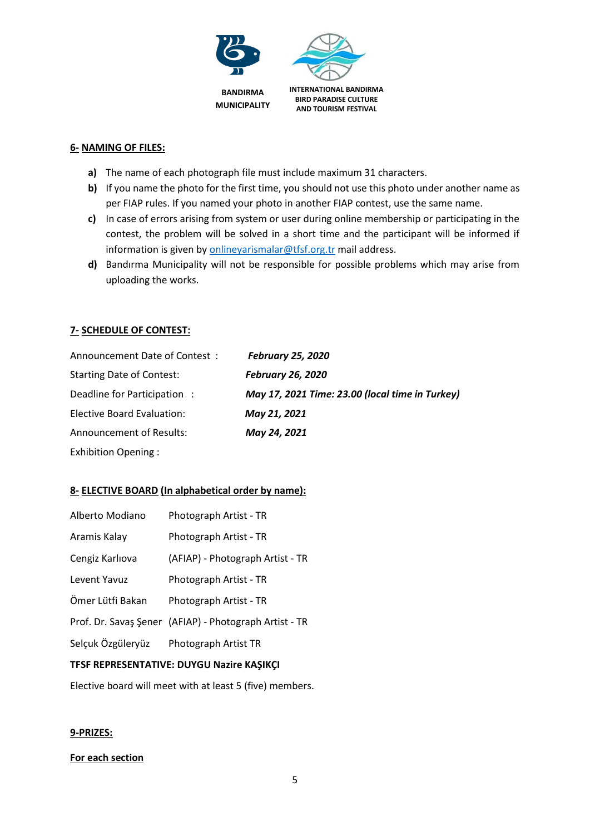

### **6- NAMING OF FILES:**

- **a)** The name of each photograph file must include maximum 31 characters.
- **b)** If you name the photo for the first time, you should not use this photo under another name as per FIAP rules. If you named your photo in another FIAP contest, use the same name.
- **c)** In case of errors arising from system or user during online membership or participating in the contest, the problem will be solved in a short time and the participant will be informed if information is given b[y onlineyarismalar@tfsf.org.tr](mailto:onlineyarismalar@tfsf.org.tr) mail address.
- **d)** Bandırma Municipality will not be responsible for possible problems which may arise from uploading the works.

# **7- SCHEDULE OF CONTEST:**

| Announcement Date of Contest:    | <b>February 25, 2020</b>                        |
|----------------------------------|-------------------------------------------------|
| <b>Starting Date of Contest:</b> | <b>February 26, 2020</b>                        |
| Deadline for Participation:      | May 17, 2021 Time: 23.00 (local time in Turkey) |
| Elective Board Evaluation:       | May 21, 2021                                    |
| <b>Announcement of Results:</b>  | May 24, 2021                                    |
| <b>Exhibition Opening:</b>       |                                                 |

# **8- ELECTIVE BOARD (In alphabetical order by name):**

| Alberto Modiano   | Photograph Artist - TR                                 |
|-------------------|--------------------------------------------------------|
| Aramis Kalay      | Photograph Artist - TR                                 |
| Cengiz Karlıova   | (AFIAP) - Photograph Artist - TR                       |
| Levent Yavuz      | Photograph Artist - TR                                 |
| Ömer Lütfi Bakan  | Photograph Artist - TR                                 |
|                   | Prof. Dr. Savaş Şener (AFIAP) - Photograph Artist - TR |
| Selçuk Özgüleryüz | Photograph Artist TR                                   |
|                   |                                                        |

# **TFSF REPRESENTATIVE: DUYGU Nazire KAŞIKÇI**

Elective board will meet with at least 5 (five) members.

### **9-PRIZES:**

### **For each section**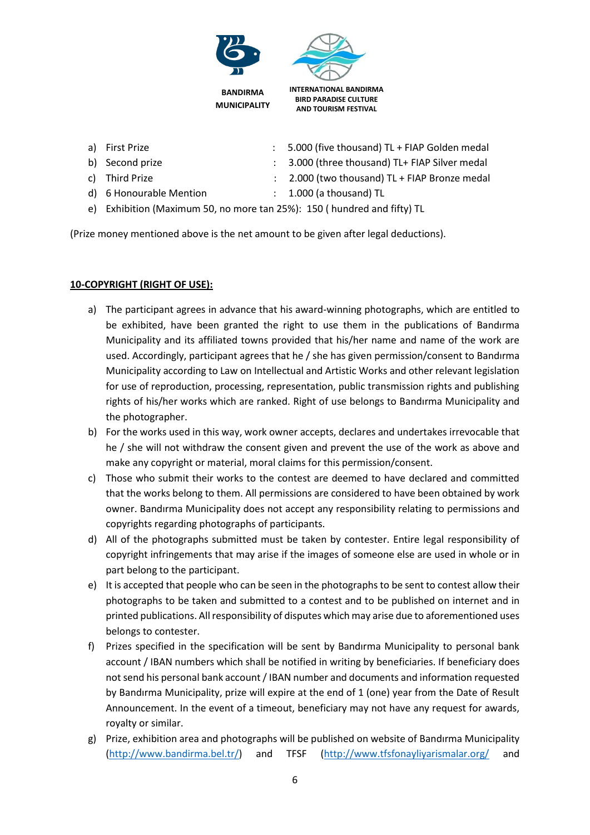

- 
- 
- 
- 
- a) First Prize **in Accord Contract Contract Contract Contract Contract Contract Contract Contract Contract Contract Contract Contract Contract Contract Contract Contract Contract Contract Contract Contract Contract Contrac**
- b) Second prize : 3.000 (three thousand) TL+ FIAP Silver medal
- c) Third Prize : 2.000 (two thousand) TL + FIAP Bronze medal
- d) 6 Honourable Mention : 1.000 (a thousand) TL
- 
- e) Exhibition (Maximum 50, no more tan 25%): 150 ( hundred and fifty) TL

(Prize money mentioned above is the net amount to be given after legal deductions).

# **10-COPYRIGHT (RIGHT OF USE):**

- a) The participant agrees in advance that his award-winning photographs, which are entitled to be exhibited, have been granted the right to use them in the publications of Bandırma Municipality and its affiliated towns provided that his/her name and name of the work are used. Accordingly, participant agrees that he / she has given permission/consent to Bandırma Municipality according to Law on Intellectual and Artistic Works and other relevant legislation for use of reproduction, processing, representation, public transmission rights and publishing rights of his/her works which are ranked. Right of use belongs to Bandırma Municipality and the photographer.
- b) For the works used in this way, work owner accepts, declares and undertakes irrevocable that he / she will not withdraw the consent given and prevent the use of the work as above and make any copyright or material, moral claims for this permission/consent.
- c) Those who submit their works to the contest are deemed to have declared and committed that the works belong to them. All permissions are considered to have been obtained by work owner. Bandırma Municipality does not accept any responsibility relating to permissions and copyrights regarding photographs of participants.
- d) All of the photographs submitted must be taken by contester. Entire legal responsibility of copyright infringements that may arise if the images of someone else are used in whole or in part belong to the participant.
- e) It is accepted that people who can be seen in the photographs to be sent to contest allow their photographs to be taken and submitted to a contest and to be published on internet and in printed publications. All responsibility of disputes which may arise due to aforementioned uses belongs to contester.
- f) Prizes specified in the specification will be sent by Bandırma Municipality to personal bank account / IBAN numbers which shall be notified in writing by beneficiaries. If beneficiary does not send his personal bank account / IBAN number and documents and information requested by Bandırma Municipality, prize will expire at the end of 1 (one) year from the Date of Result Announcement. In the event of a timeout, beneficiary may not have any request for awards, royalty or similar.
- g) Prize, exhibition area and photographs will be published on website of Bandırma Municipality [\(http://www.bandirma.bel.tr/\)](http://www.bandirma.bel.tr/) and TFSF [\(http://www.tfsfonayliyarismalar.org/](http://www.tfsfonayliyarismalar.org/) and